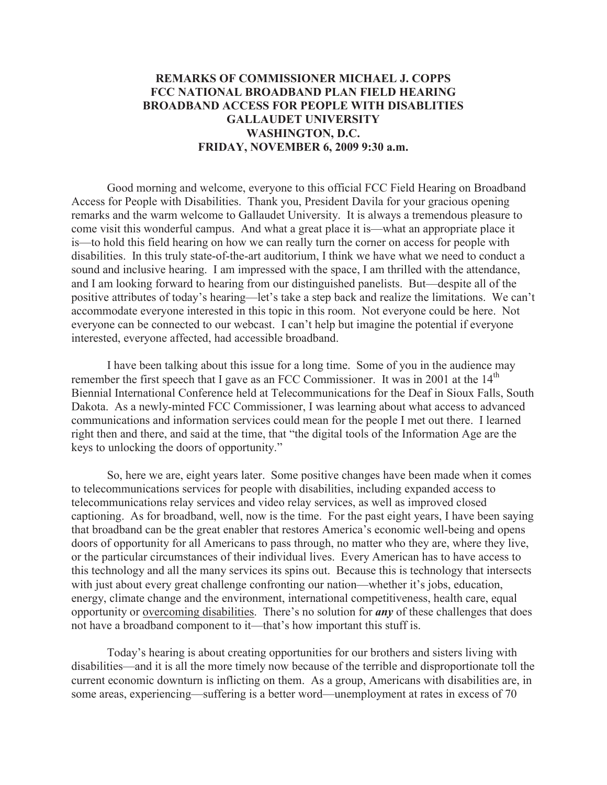## **REMARKS OF COMMISSIONER MICHAEL J. COPPS FCC NATIONAL BROADBAND PLAN FIELD HEARING BROADBAND ACCESS FOR PEOPLE WITH DISABLITIES GALLAUDET UNIVERSITY WASHINGTON, D.C. FRIDAY, NOVEMBER 6, 2009 9:30 a.m.**

Good morning and welcome, everyone to this official FCC Field Hearing on Broadband Access for People with Disabilities. Thank you, President Davila for your gracious opening remarks and the warm welcome to Gallaudet University. It is always a tremendous pleasure to come visit this wonderful campus. And what a great place it is—what an appropriate place it is—to hold this field hearing on how we can really turn the corner on access for people with disabilities. In this truly state-of-the-art auditorium, I think we have what we need to conduct a sound and inclusive hearing. I am impressed with the space, I am thrilled with the attendance, and I am looking forward to hearing from our distinguished panelists. But—despite all of the positive attributes of today's hearing—let's take a step back and realize the limitations. We can't accommodate everyone interested in this topic in this room. Not everyone could be here. Not everyone can be connected to our webcast. I can't help but imagine the potential if everyone interested, everyone affected, had accessible broadband.

I have been talking about this issue for a long time. Some of you in the audience may remember the first speech that I gave as an FCC Commissioner. It was in 2001 at the  $14<sup>th</sup>$ Biennial International Conference held at Telecommunications for the Deaf in Sioux Falls, South Dakota. As a newly-minted FCC Commissioner, I was learning about what access to advanced communications and information services could mean for the people I met out there. I learned right then and there, and said at the time, that "the digital tools of the Information Age are the keys to unlocking the doors of opportunity."

So, here we are, eight years later. Some positive changes have been made when it comes to telecommunications services for people with disabilities, including expanded access to telecommunications relay services and video relay services, as well as improved closed captioning. As for broadband, well, now is the time. For the past eight years, I have been saying that broadband can be the great enabler that restores America's economic well-being and opens doors of opportunity for all Americans to pass through, no matter who they are, where they live, or the particular circumstances of their individual lives. Every American has to have access to this technology and all the many services its spins out. Because this is technology that intersects with just about every great challenge confronting our nation—whether it's jobs, education, energy, climate change and the environment, international competitiveness, health care, equal opportunity or overcoming disabilities. There's no solution for *any* of these challenges that does not have a broadband component to it—that's how important this stuff is.

Today's hearing is about creating opportunities for our brothers and sisters living with disabilities—and it is all the more timely now because of the terrible and disproportionate toll the current economic downturn is inflicting on them. As a group, Americans with disabilities are, in some areas, experiencing—suffering is a better word—unemployment at rates in excess of 70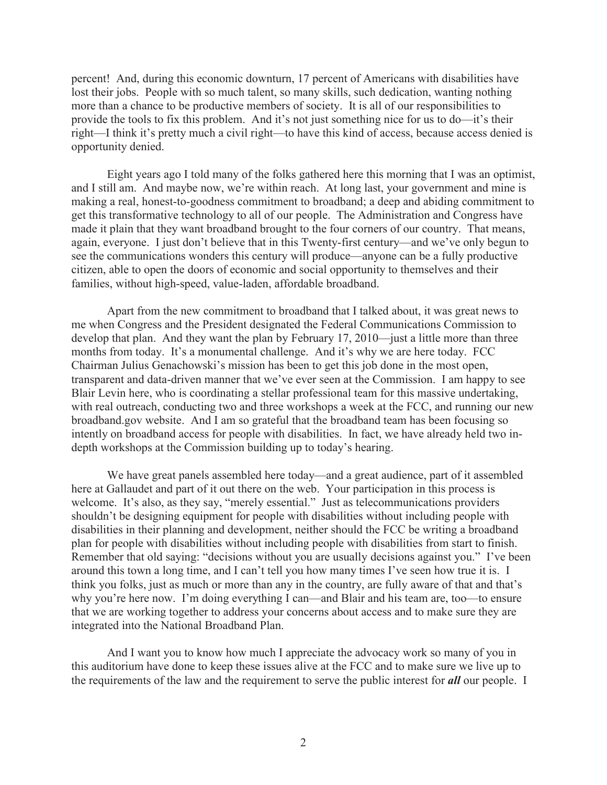percent! And, during this economic downturn, 17 percent of Americans with disabilities have lost their jobs. People with so much talent, so many skills, such dedication, wanting nothing more than a chance to be productive members of society. It is all of our responsibilities to provide the tools to fix this problem. And it's not just something nice for us to do—it's their right—I think it's pretty much a civil right—to have this kind of access, because access denied is opportunity denied.

Eight years ago I told many of the folks gathered here this morning that I was an optimist, and I still am. And maybe now, we're within reach. At long last, your government and mine is making a real, honest-to-goodness commitment to broadband; a deep and abiding commitment to get this transformative technology to all of our people. The Administration and Congress have made it plain that they want broadband brought to the four corners of our country. That means, again, everyone. I just don't believe that in this Twenty-first century—and we've only begun to see the communications wonders this century will produce—anyone can be a fully productive citizen, able to open the doors of economic and social opportunity to themselves and their families, without high-speed, value-laden, affordable broadband.

Apart from the new commitment to broadband that I talked about, it was great news to me when Congress and the President designated the Federal Communications Commission to develop that plan. And they want the plan by February 17, 2010—just a little more than three months from today. It's a monumental challenge. And it's why we are here today. FCC Chairman Julius Genachowski's mission has been to get this job done in the most open, transparent and data-driven manner that we've ever seen at the Commission. I am happy to see Blair Levin here, who is coordinating a stellar professional team for this massive undertaking, with real outreach, conducting two and three workshops a week at the FCC, and running our new broadband.gov website. And I am so grateful that the broadband team has been focusing so intently on broadband access for people with disabilities. In fact, we have already held two indepth workshops at the Commission building up to today's hearing.

We have great panels assembled here today—and a great audience, part of it assembled here at Gallaudet and part of it out there on the web. Your participation in this process is welcome. It's also, as they say, "merely essential." Just as telecommunications providers shouldn't be designing equipment for people with disabilities without including people with disabilities in their planning and development, neither should the FCC be writing a broadband plan for people with disabilities without including people with disabilities from start to finish. Remember that old saying: "decisions without you are usually decisions against you." I've been around this town a long time, and I can't tell you how many times I've seen how true it is. I think you folks, just as much or more than any in the country, are fully aware of that and that's why you're here now. I'm doing everything I can—and Blair and his team are, too—to ensure that we are working together to address your concerns about access and to make sure they are integrated into the National Broadband Plan.

And I want you to know how much I appreciate the advocacy work so many of you in this auditorium have done to keep these issues alive at the FCC and to make sure we live up to the requirements of the law and the requirement to serve the public interest for *all* our people. I